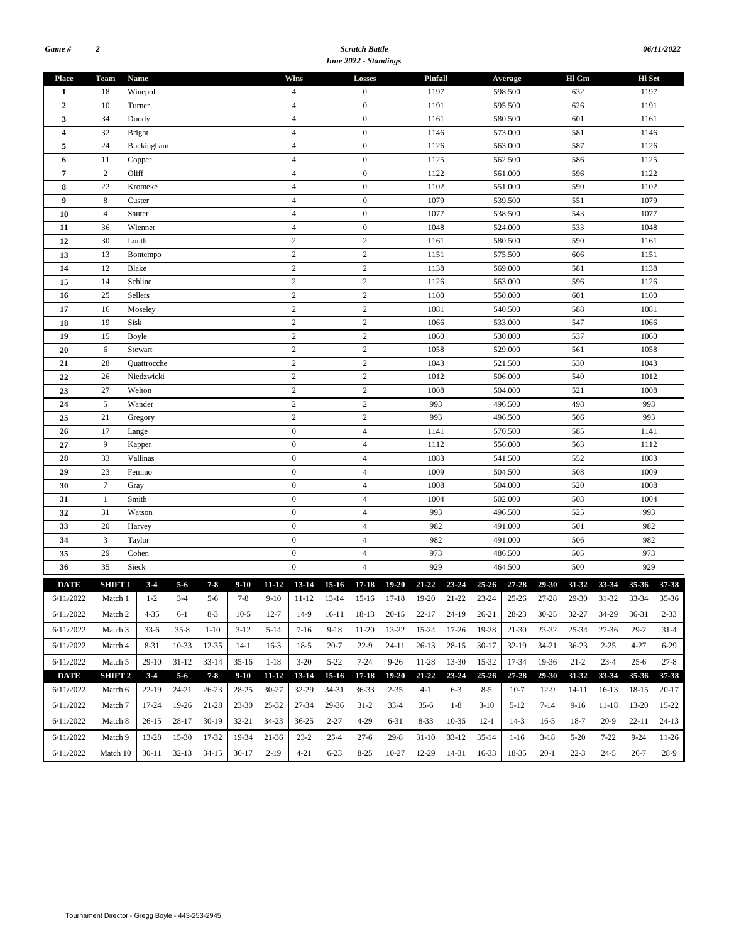#### *Scratch Battle June 2022 - Standings*

|                |                    |             |               |           |           |                  |                |                  |                  | June 2022 - Standings              |           |           |           |           |           |           |           |           |           |          |  |
|----------------|--------------------|-------------|---------------|-----------|-----------|------------------|----------------|------------------|------------------|------------------------------------|-----------|-----------|-----------|-----------|-----------|-----------|-----------|-----------|-----------|----------|--|
| <b>Place</b>   | Team               | <b>Name</b> |               |           |           |                  |                | Wins             |                  | Losses                             |           | Pinfall   |           |           | Average   |           | Hi Gm     |           | Hi Set    |          |  |
| 1              | 18                 |             | Winepol       |           |           |                  |                | $\overline{4}$   |                  | $\boldsymbol{0}$                   |           | 1197      |           |           | 598.500   |           | 632       |           | 1197      |          |  |
| $\overline{2}$ | 10                 | Turner      |               |           |           |                  |                | $\overline{4}$   |                  | $\boldsymbol{0}$                   |           | 1191      |           |           | 595.500   |           | 626       |           | 1191      |          |  |
| 3              | 34                 | Doody       |               |           |           |                  |                | $\overline{4}$   |                  | $\boldsymbol{0}$                   |           | 1161      |           | 580.500   |           |           | 601       |           | 1161      |          |  |
| 4              | 32                 |             | <b>Bright</b> |           |           |                  | $\overline{4}$ |                  | $\boldsymbol{0}$ |                                    | 1146      |           | 573.000   |           |           | 581       |           | 1146      |           |          |  |
| 5              | 24                 | Buckingham  |               |           |           | $\overline{4}$   |                | $\boldsymbol{0}$ |                  | 1126                               |           |           | 563.000   |           | 587       |           | 1126      |           |           |          |  |
| 6              | 11                 | Copper      |               |           |           | $\overline{4}$   |                | $\boldsymbol{0}$ |                  | 1125                               |           |           | 562.500   |           | 586       |           | 1125      |           |           |          |  |
| $\overline{7}$ | $\mathbf{2}$       | Oliff       |               |           |           | $\overline{4}$   |                | $\boldsymbol{0}$ |                  | 1122                               |           |           | 561.000   |           | 596       |           | 1122      |           |           |          |  |
| 8              | 22                 |             | Kromeke       |           |           |                  | $\overline{4}$ |                  | $\boldsymbol{0}$ |                                    | 1102      |           |           | 551.000   |           | 590       |           | 1102      |           |          |  |
| 9              | $\,8\,$            |             | Custer        |           |           |                  |                | $\overline{4}$   |                  | $\boldsymbol{0}$                   |           | 1079      |           |           | 539.500   |           | 551       |           | 1079      |          |  |
| 10             | $\overline{4}$     | Sauter      |               |           |           | $\overline{4}$   |                | $\boldsymbol{0}$ |                  | 1077                               |           |           | 538.500   |           | 543       |           | 1077      |           |           |          |  |
| 11             | 36                 | Wienner     |               |           |           |                  | $\overline{4}$ |                  | $\boldsymbol{0}$ |                                    | 1048      |           |           | 524.000   |           | 533       |           | 1048      |           |          |  |
| 12             | 30                 | Louth       |               |           |           |                  | $\mathbf{2}$   |                  | $\sqrt{2}$       |                                    | 1161      |           |           | 580.500   |           | 590       |           | 1161      |           |          |  |
| 13             | 13                 | Bontempo    |               |           |           | $\mathbf{2}$     |                | $\overline{c}$   |                  | 1151                               |           |           | 575.500   |           | 606       |           | 1151      |           |           |          |  |
| 14             | 12                 | Blake       |               |           |           |                  |                | $\sqrt{2}$       |                  | $\sqrt{2}$                         |           | 1138      |           |           | 569.000   |           | 581       |           | 1138      |          |  |
| 15             | 14                 |             | Schline       |           |           |                  |                | $\overline{c}$   |                  | $\sqrt{2}$                         |           | 1126      |           |           | 563.000   |           | 596       |           | 1126      |          |  |
| 16             | 25                 |             | Sellers       |           |           |                  | $\sqrt{2}$     |                  | $\sqrt{2}$       |                                    | 1100      |           |           | 550.000   |           | 601       |           | 1100      |           |          |  |
| 17             | 16                 | Moseley     |               |           |           | $\sqrt{2}$       |                | $\sqrt{2}$       |                  | 1081                               |           |           | 540.500   |           | 588       |           | 1081      |           |           |          |  |
| 18             | 19                 | Sisk        |               |           |           | $\overline{c}$   |                | $\sqrt{2}$       |                  | 1066                               |           |           | 533.000   |           | 547       |           | 1066      |           |           |          |  |
| 19             | 15                 | Boyle       |               |           |           | $\mathbf{2}$     |                | $\sqrt{2}$       |                  |                                    | 1060      |           | 530.000   |           | 537       |           | 1060      |           |           |          |  |
| 20             | 6                  | Stewart     |               |           |           | $\sqrt{2}$       |                | $\sqrt{2}$       |                  | 1058                               | 529.000   |           |           | 561       |           | 1058      |           |           |           |          |  |
| 21             | 28                 | Quattrocche |               |           |           | $\sqrt{2}$       |                | $\sqrt{2}$       |                  | 1043<br>521.500<br>1012<br>506.000 |           |           |           | 530       |           | 1043      |           |           |           |          |  |
| 22             | 26                 | Niedzwicki  |               |           |           | $\mathbf{2}$     |                | $\sqrt{2}$       |                  |                                    |           |           |           |           | 540       |           | 1012      |           |           |          |  |
| 23             | 27                 | Welton      |               |           |           | $\mathbf{2}$     |                | $\overline{c}$   |                  | 1008                               |           |           | 504.000   |           | 521       |           | 1008      |           |           |          |  |
| 24             | $\sqrt{5}$         | Wander      |               |           |           | $\sqrt{2}$       |                | $\sqrt{2}$       |                  | 993                                |           |           | 496.500   |           | 498       |           | 993       |           |           |          |  |
| 25             | 21                 | Gregory     |               |           |           | $\sqrt{2}$       |                | $\sqrt{2}$       |                  | 993                                |           |           | 496.500   |           | 506       |           | 993       |           |           |          |  |
| 26             | 17                 | Lange       |               |           |           | $\mathbf{0}$     |                | $\overline{4}$   |                  | 1141                               |           |           | 570.500   |           | 585       |           | 1141      |           |           |          |  |
| 27             | 9                  | Kapper      |               |           |           | $\boldsymbol{0}$ |                | $\overline{4}$   |                  | 1112                               |           |           | 556.000   |           | 563       |           | 1112      |           |           |          |  |
| 28             | 33                 |             | Vallinas      |           |           |                  |                | $\mathbf{0}$     |                  | $\overline{4}$                     |           | 1083      |           |           | 541.500   |           | 552       |           | 1083      |          |  |
| 29             | 23                 |             | Femino        |           |           |                  |                | $\boldsymbol{0}$ |                  | $\overline{4}$                     |           | 1009      |           |           | 504.500   |           | 508       |           | 1009      |          |  |
| 30             | $\boldsymbol{7}$   | Gray        |               |           |           |                  |                | $\boldsymbol{0}$ |                  | $\overline{4}$                     |           | 1008      |           | 504.000   |           |           | 520       |           | 1008      |          |  |
| 31             | 1                  | Smith       |               |           |           |                  |                | $\boldsymbol{0}$ |                  | 4                                  |           | 1004      |           | 502.000   |           |           | 503       |           | 1004      |          |  |
| 32             | 31                 |             | Watson        |           |           |                  |                | $\boldsymbol{0}$ |                  | $\overline{4}$                     |           | 993       |           | 496.500   |           |           | 525       |           | 993       |          |  |
| 33             | 20                 |             | Harvey        |           |           |                  |                | $\boldsymbol{0}$ |                  | $\overline{4}$                     |           | 982       |           | 491.000   |           |           | 501       |           | 982       |          |  |
| 34             | $\mathfrak z$      | Taylor      |               |           |           |                  |                | $\boldsymbol{0}$ |                  | $\overline{4}$                     |           | 982       |           |           | 491.000   |           | 506       |           | 982       |          |  |
| 35             | 29                 | Cohen       |               |           |           |                  |                | $\boldsymbol{0}$ |                  | $\overline{4}$                     |           | 973       |           |           | 486.500   |           | 505       |           | 973       |          |  |
| 36             | 35                 | Sieck       |               |           |           |                  |                | $\mathbf{0}$     |                  | $\overline{4}$                     |           | 929       |           |           | 464.500   |           | 500       |           | 929       |          |  |
| <b>DATE</b>    | SHIFT 1            |             | $3 - 4$       | $5-6$     | $7 - 8$   | $9-10$           | $11 - 12$      | 13-14            | $15-16$          | $17 - 18$                          | $19 - 20$ | $21 - 22$ | $23 - 24$ | $25 - 26$ | 27-28     | 29-30     | 31-32     | 33-34     | 35-36     | 37-38    |  |
| 6/11/2022      | Match 1            |             | $1 - 2$       | $3-4$     | $5-6$     | 7-8              | $9 - 10$       | 11-12            | 13-14            | 15-16                              | 17-18     | 19-20     | 21-22     | 23-24     | $25 - 26$ | 27-28     | 29-30     | $31 - 32$ | 33-34     | 35-36    |  |
| 6/11/2022      | Match 2            |             | $4 - 35$      | $6-1$     | $8 - 3$   | $10-5$           | $12 - 7$       | $14-9$           | $16-11$          | 18-13                              | $20 - 15$ | $22 - 17$ | 24-19     | $26 - 21$ | 28-23     | $30 - 25$ | 32-27     | 34-29     | 36-31     | $2 - 33$ |  |
| 6/11/2022      | Match 3            |             | $33-6$        | $35 - 8$  | $1 - 10$  | $3-12$           | $5 - 14$       | $7-16$           | $9-18$           | $11-20$                            | 13-22     | 15-24     | 17-26     | 19-28     | $21-30$   | 23-32     | 25-34     | $27 - 36$ | $29-2$    | $31 - 4$ |  |
| 6/11/2022      | Match 4            |             | 8-31          | $10-33$   | 12-35     | $14-1$           | $16-3$         | $18-5$           | $20 - 7$         | $22-9$                             | $24 - 11$ | $26-13$   | $28 - 15$ | $30-17$   | $32-19$   | $34 - 21$ | $36-23$   | $2 - 25$  | 4-27      | $6 - 29$ |  |
|                |                    |             |               |           |           |                  |                |                  |                  |                                    |           |           |           |           |           |           |           |           |           |          |  |
| 6/11/2022      | Match 5            |             | $29-10$       | $31 - 12$ | $33 - 14$ | $35-16$          | $1 - 18$       | $3-20$           | $5 - 22$         | $7 - 24$                           | $9 - 26$  | 11-28     | 13-30     | 15-32     | 17-34     | 19-36     | $21 - 2$  | $23 - 4$  | $25 - 6$  | $27 - 8$ |  |
| <b>DATE</b>    | SHIFT <sub>2</sub> |             | $3 - 4$       | $5 - 6$   | $7 - 8$   | $9-10$           | $11 - 12$      | 13-14            | $15 - 16$        | $17 - 18$                          | $19 - 20$ | $21 - 22$ | 23-24     | $25 - 26$ | $27 - 28$ | 29-30     | 31-32     | 33-34     | 35-36     | 37-38    |  |
| 6/11/2022      | Match 6            |             | $22 - 19$     | 24-21     | $26 - 23$ | 28-25            | $30 - 27$      | 32-29            | 34-31            | 36-33                              | $2 - 35$  | $4 - 1$   | $6 - 3$   | $8 - 5$   | $10-7$    | $12-9$    | $14 - 11$ | $16-13$   | 18-15     | $20-17$  |  |
| 6/11/2022      | Match 7            |             | 17-24         | 19-26     | 21-28     | 23-30            | 25-32          | 27-34            | 29-36            | $31-2$                             | $33-4$    | $35-6$    | $1 - 8$   | $3-10$    | $5-12$    | $7 - 14$  | $9-16$    | 11-18     | 13-20     | 15-22    |  |
| 6/11/2022      | Match 8            |             | $26 - 15$     | 28-17     | $30-19$   | 32-21            | 34-23          | $36 - 25$        | $2 - 27$         | $4 - 29$                           | $6 - 31$  | $8 - 33$  | 10-35     | $12-1$    | $14-3$    | $16-5$    | $18-7$    | $20-9$    | $22 - 11$ | $24-13$  |  |
| 6/11/2022      | Match 9            |             | 13-28         | 15-30     | 17-32     | 19-34            | 21-36          | $23 - 2$         | $25 - 4$         | $27-6$                             | $29-8$    | $31-10$   | $33-12$   | $35 - 14$ | $1-16$    | $3-18$    | $5 - 20$  | $7 - 22$  | $9 - 24$  | 11-26    |  |
| 6/11/2022      | Match 10           |             | $30-11$       | $32-13$   | $34 - 15$ | $36-17$          | $2 - 19$       | $4 - 21$         | $6 - 23$         | $8 - 25$                           | 10-27     | 12-29     | 14-31     | 16-33     | 18-35     | $20-1$    | $22 - 3$  | $24 - 5$  | $26 - 7$  | $28-9$   |  |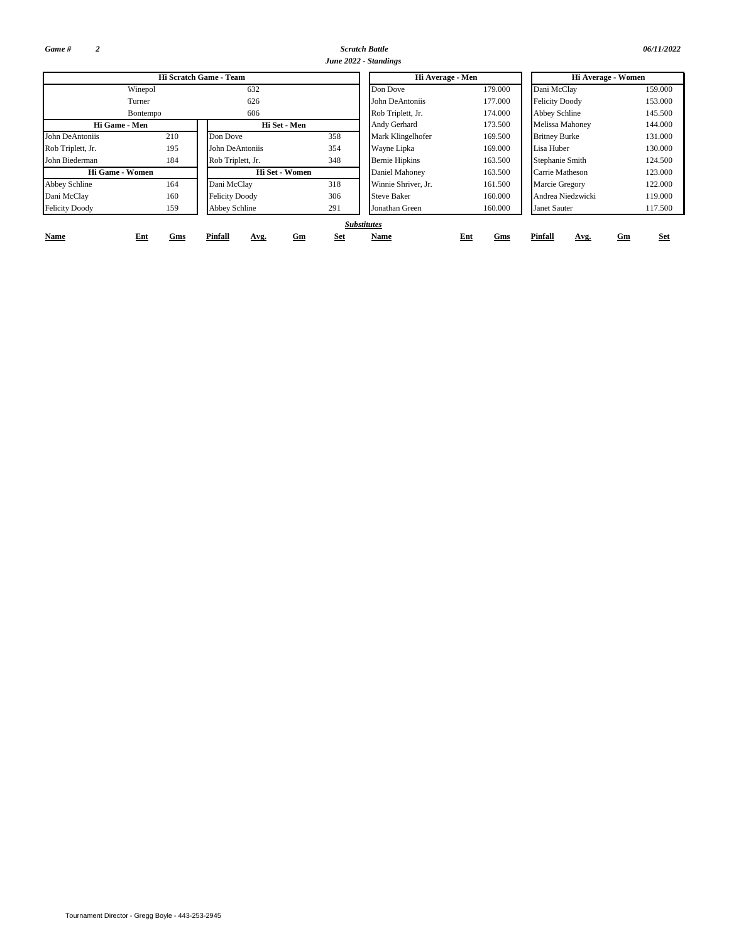*Game # 2*

John Biederman

Felicity Doody

Abbey Schline

Rob Triplett, Jr.

John DeAntoniis

**Name**

Dani McClay 160

*Scratch Battle 06/11/2022*

|                        |          |                        |     | June 2022 - Standings |         |                       |         |  |  |
|------------------------|----------|------------------------|-----|-----------------------|---------|-----------------------|---------|--|--|
|                        |          | Hi Scratch Game - Team |     | Hi Average - Men      |         | Hi Average - Women    |         |  |  |
|                        | Winepol  | 632                    |     | 179.000<br>Don Dove   |         | Dani McClay           | 159.000 |  |  |
|                        | Turner   | 626                    |     | John DeAntoniis       | 177.000 | <b>Felicity Doody</b> | 153.000 |  |  |
|                        | Bontempo | 606                    |     | Rob Triplett, Jr.     | 174.000 | Abbey Schline         | 145.500 |  |  |
| Hi Game - Men          |          | Hi Set - Men           |     | Andy Gerhard          | 173.500 | Melissa Mahoney       | 144.000 |  |  |
| niis                   | 210      | Don Dove               | 358 | Mark Klingelhofer     | 169.500 | <b>Britney Burke</b>  | 131.000 |  |  |
| Jr.                    | 195      | John DeAntoniis        | 354 | Wayne Lipka           | 169.000 | Lisa Huber            | 130.000 |  |  |
| ian                    | 184      | Rob Triplett, Jr.      | 348 | <b>Bernie Hipkins</b> | 163.500 | Stephanie Smith       | 124.500 |  |  |
| <b>Hi Game - Women</b> |          | Hi Set - Women         |     | Daniel Mahoney        | 163.500 | Carrie Matheson       | 123.000 |  |  |
|                        | 164      | Dani McClay            | 318 | Winnie Shriver, Jr.   | 161.500 | Marcie Gregory        | 122.000 |  |  |
|                        | 160      | <b>Felicity Doody</b>  | 306 | <b>Steve Baker</b>    | 160.000 | Andrea Niedzwicki     | 119.000 |  |  |

**Name Ent**

### *Substitutes*

Felicity Doody

**Ent Gm Set Pinfall**

**Avg.**

**Gms**

159 Abbey Schline 291 Jonathan Green 160.000 Janet Sauter

306 Steve Baker

117.500

**Gm Set**

**Gms Pinfall Avg.**

Andrea Niedzwicki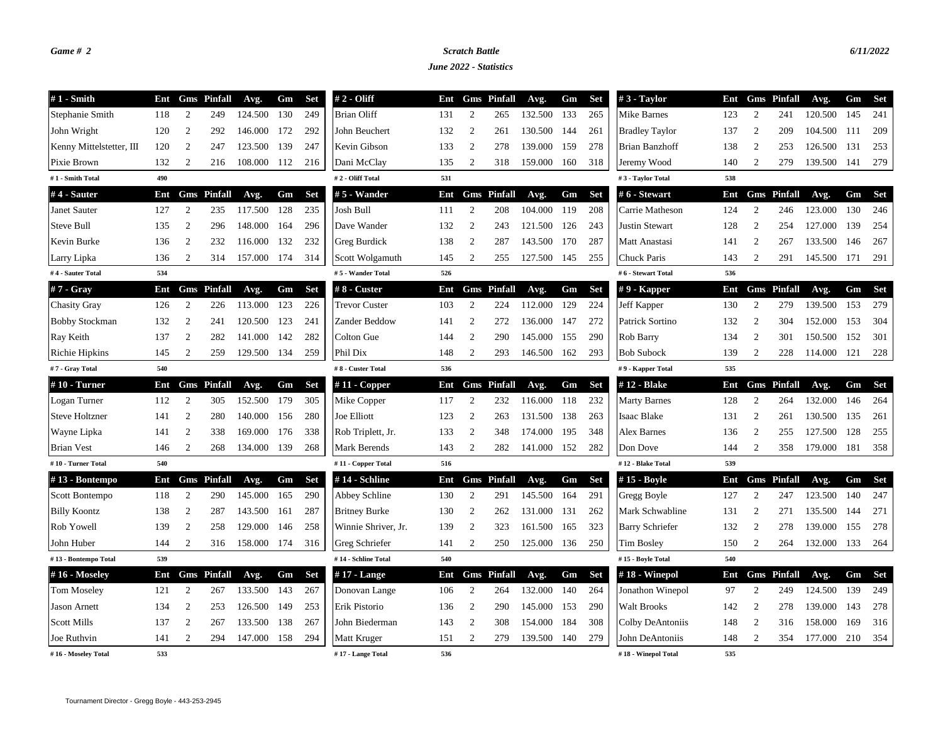## *Game # 2 Scratch Battle 6/11/2022*

*June 2022 - Statistics*

| $#1$ - Smith             | Ent |                  | <b>Gms</b> Pinfall | Avg.        | Gm  | <b>Set</b> | $# 2 - Oliff$        | Ent |                | <b>Gms</b> Pinfall | Avg.    | Gm  | Set        | #3 - Taylor            | Ent |                | <b>Gms</b> Pinfall | Avg.        | Gm   | Set        |
|--------------------------|-----|------------------|--------------------|-------------|-----|------------|----------------------|-----|----------------|--------------------|---------|-----|------------|------------------------|-----|----------------|--------------------|-------------|------|------------|
| Stephanie Smith          | 118 | 2                | 249                | 124.500     | 130 | 249        | <b>Brian Oliff</b>   | 131 | 2              | 265                | 132.500 | 133 | 265        | Mike Barnes            | 123 | 2              | 241                | 120.500     | 145  | 241        |
| John Wright              | 120 | $\boldsymbol{2}$ | 292                | 146.000     | 172 | 292        | John Beuchert        | 132 | $\overline{2}$ | 261                | 130.500 | 144 | 261        | <b>Bradley Taylor</b>  | 137 | 2              | 209                | 104.500     | -111 | 209        |
| Kenny Mittelstetter, III | 120 | $\overline{2}$   | 247                | 123.500     | 139 | 247        | Kevin Gibson         | 133 | 2              | 278                | 139.000 | 159 | 278        | <b>Brian Banzhoff</b>  | 138 | $\overline{2}$ | 253                | 126.500     | 131  | 253        |
| Pixie Brown              | 132 | 2                | 216                | 108.000 112 |     | 216        | Dani McClay          | 135 | $\overline{c}$ | 318                | 159.000 | 160 | 318        | Jeremy Wood            | 140 | $\overline{2}$ | 279                | 139.500 141 |      | 279        |
| #1 - Smith Total         | 490 |                  |                    |             |     |            | #2 - Oliff Total     | 531 |                |                    |         |     |            | #3 - Taylor Total      | 538 |                |                    |             |      |            |
| $#4$ - Sauter            | Ent |                  | <b>Gms</b> Pinfall | Avg.        | Gm  | Set        | #5 - Wander          | Ent |                | <b>Gms</b> Pinfall | Avg.    | Gm  | <b>Set</b> | # 6 - Stewart          | Ent |                | <b>Gms</b> Pinfall | Avg.        | Gm   | Set        |
| Janet Sauter             | 127 | 2                | 235                | 117.500     | 128 | 235        | Josh Bull            | 111 | 2              | 208                | 104.000 | 119 | 208        | Carrie Matheson        | 124 | 2              | 246                | 123.000     | 130  | 246        |
| <b>Steve Bull</b>        | 135 | $\overline{c}$   | 296                | 148.000     | 164 | 296        | Dave Wander          | 132 | 2              | 243                | 121.500 | 126 | 243        | Justin Stewart         | 128 | $\overline{c}$ | 254                | 127.000     | 139  | 254        |
| Kevin Burke              | 136 | 2                | 232                | 116.000     | 132 | 232        | Greg Burdick         | 138 | 2              | 287                | 143.500 | 170 | 287        | Matt Anastasi          | 141 | $\overline{2}$ | 267                | 133.500     | 146  | 267        |
| Larry Lipka              | 136 | 2                | 314                | 157.000     | 174 | 314        | Scott Wolgamuth      | 145 | 2              | 255                | 127.500 | 145 | 255        | Chuck Paris            | 143 | 2              | 291                | 145.500 171 |      | 291        |
| #4 - Sauter Total        | 534 |                  |                    |             |     |            | #5 - Wander Total    | 526 |                |                    |         |     |            | #6 - Stewart Total     | 536 |                |                    |             |      |            |
| #7 - Gray                | Ent |                  | <b>Gms</b> Pinfall | Avg.        | Gm  | Set        | $#8 -$ Custer        | Ent |                | <b>Gms</b> Pinfall | Avg.    | Gm  | <b>Set</b> | #9 - Kapper            | Ent |                | <b>Gms</b> Pinfall | Avg.        | Gm   | Set        |
| <b>Chasity Gray</b>      | 126 | 2                | 226                | 113.000     | 123 | 226        | <b>Trevor Custer</b> | 103 | 2              | 224                | 112.000 | 129 | 224        | Jeff Kapper            | 130 | 2              | 279                | 139.500 153 |      | 279        |
| <b>Bobby Stockman</b>    | 132 | $\overline{2}$   | 241                | 120.500     | 123 | 241        | Zander Beddow        | 141 | 2              | 272                | 136.000 | 147 | 272        | Patrick Sortino        | 132 | 2              | 304                | 152.000     | 153  | 304        |
| Ray Keith                | 137 | 2                | 282                | 141.000     | 142 | 282        | Colton Gue           | 144 | 2              | 290                | 145.000 | 155 | 290        | Rob Barry              | 134 | $\overline{2}$ | 301                | 150.500 152 |      | 301        |
| Richie Hipkins           | 145 | $\overline{2}$   | 259                | 129.500     | 134 | 259        | Phil Dix             | 148 | $\overline{2}$ | 293                | 146.500 | 162 | 293        | <b>Bob Subock</b>      | 139 | $\overline{2}$ | 228                | 114.000 121 |      | 228        |
| #7 - Gray Total          | 540 |                  |                    |             |     |            | #8 - Custer Total    | 536 |                |                    |         |     |            | #9 - Kapper Total      | 535 |                |                    |             |      |            |
| $#10$ - Turner           | Ent |                  | <b>Gms</b> Pinfall | Avg.        | Gm  | Set        | #11 - Copper         | Ent |                | <b>Gms</b> Pinfall | Avg.    | Gm  | <b>Set</b> | #12 - Blake            | Ent |                | <b>Gms</b> Pinfall | Avg.        | Gm   | Set        |
| Logan Turner             | 112 | $\overline{2}$   | 305                | 152.500     | 179 | 305        | Mike Copper          | 117 | $\overline{2}$ | 232                | 116.000 | 118 | 232        | <b>Marty Barnes</b>    | 128 | $\overline{2}$ | 264                | 132.000     | 146  | 264        |
| <b>Steve Holtzner</b>    | 141 | $\overline{c}$   | 280                | 140.000     | 156 | 280        | Joe Elliott          | 123 | $\overline{2}$ | 263                | 131.500 | 138 | 263        | Isaac Blake            | 131 | 2              | 261                | 130.500     | 135  | 261        |
| Wayne Lipka              | 141 | $\overline{c}$   | 338                | 169.000     | 176 | 338        | Rob Triplett, Jr.    | 133 | 2              | 348                | 174.000 | 195 | 348        | <b>Alex Barnes</b>     | 136 | $\overline{2}$ | 255                | 127.500     | 128  | 255        |
| <b>Brian Vest</b>        | 146 | $\overline{2}$   | 268                | 134.000     | 139 | 268        | Mark Berends         | 143 | $\overline{2}$ | 282                | 141.000 | 152 | 282        | Don Dove               | 144 | $\overline{2}$ | 358                | 179.000     | 181  | 358        |
| #10 - Turner Total       | 540 |                  |                    |             |     |            | #11 - Copper Total   | 516 |                |                    |         |     |            | #12 - Blake Total      | 539 |                |                    |             |      |            |
| $#13 - Bontempo$         | Ent |                  | <b>Gms</b> Pinfall | Avg.        | Gm  | Set        | #14 - Schline        | Ent |                | <b>Gms</b> Pinfall | Avg.    | Gm  | <b>Set</b> | #15 - Boyle            | Ent |                | <b>Gms</b> Pinfall | Avg.        | Gm   | <b>Set</b> |
| Scott Bontempo           | 118 | 2                | 290                | 145.000     | 165 | 290        | Abbey Schline        | 130 | 2              | 291                | 145.500 | 164 | 291        | Gregg Boyle            | 127 | 2              | 247                | 123.500     | 140  | 247        |
| <b>Billy Koontz</b>      | 138 | 2                | 287                | 143.500     | 161 | 287        | <b>Britney Burke</b> | 130 | 2              | 262                | 131.000 | 131 | 262        | Mark Schwabline        | 131 | $\overline{2}$ | 271                | 135.500     | 144  | 271        |
| Rob Yowell               | 139 | $\overline{2}$   | 258                | 129.000     | 146 | 258        | Winnie Shriver, Jr.  | 139 | $\overline{2}$ | 323                | 161.500 | 165 | 323        | <b>Barry Schriefer</b> | 132 | $\overline{2}$ | 278                | 139.000     | 155  | 278        |
| John Huber               | 144 | $\overline{c}$   | 316                | 158.000 174 |     | 316        | Greg Schriefer       | 141 | 2              | 250                | 125.000 | 136 | 250        | Tim Bosley             | 150 | $\overline{2}$ | 264                | 132.000 133 |      | 264        |
| #13 - Bontempo Total     | 539 |                  |                    |             |     |            | #14 - Schline Total  | 540 |                |                    |         |     |            | #15 - Boyle Total      | 540 |                |                    |             |      |            |
| $#16$ - Moseley          | Ent |                  | <b>Gms</b> Pinfall | Avg.        | Gm  | <b>Set</b> | #17 - Lange          | Ent |                | <b>Gms</b> Pinfall | Avg.    | Gm  | <b>Set</b> | #18 - Winepol          | Ent |                | <b>Gms</b> Pinfall | Avg.        | Gm   | Set        |
| <b>Tom Moseley</b>       | 121 | 2                | 267                | 133.500     | 143 | 267        | Donovan Lange        | 106 | $\overline{2}$ | 264                | 132.000 | 140 | 264        | Jonathon Winepol       | 97  | $\overline{2}$ | 249                | 124.500     | 139  | 249        |
| <b>Jason Arnett</b>      | 134 | 2                | 253                | 126.500     | 149 | 253        | Erik Pistorio        | 136 | 2              | 290                | 145.000 | 153 | 290        | <b>Walt Brooks</b>     | 142 | 2              | 278                | 139.000     | 143  | 278        |
| <b>Scott Mills</b>       | 137 | 2                | 267                | 133.500     | 138 | 267        | John Biederman       | 143 | 2              | 308                | 154.000 | 184 | 308        | Colby DeAntoniis       | 148 | 2              | 316                | 158.000     | 169  | 316        |
| Joe Ruthvin              | 141 | $\mathfrak{2}$   | 294                | 147.000     | 158 | 294        | Matt Kruger          | 151 | $\overline{c}$ | 279                | 139.500 | 140 | 279        | John DeAntoniis        | 148 | $\overline{2}$ | 354                | 177.000     | 210  | 354        |
| #16 - Moseley Total      | 533 |                  |                    |             |     |            | #17 - Lange Total    | 536 |                |                    |         |     |            | #18 - Winepol Total    | 535 |                |                    |             |      |            |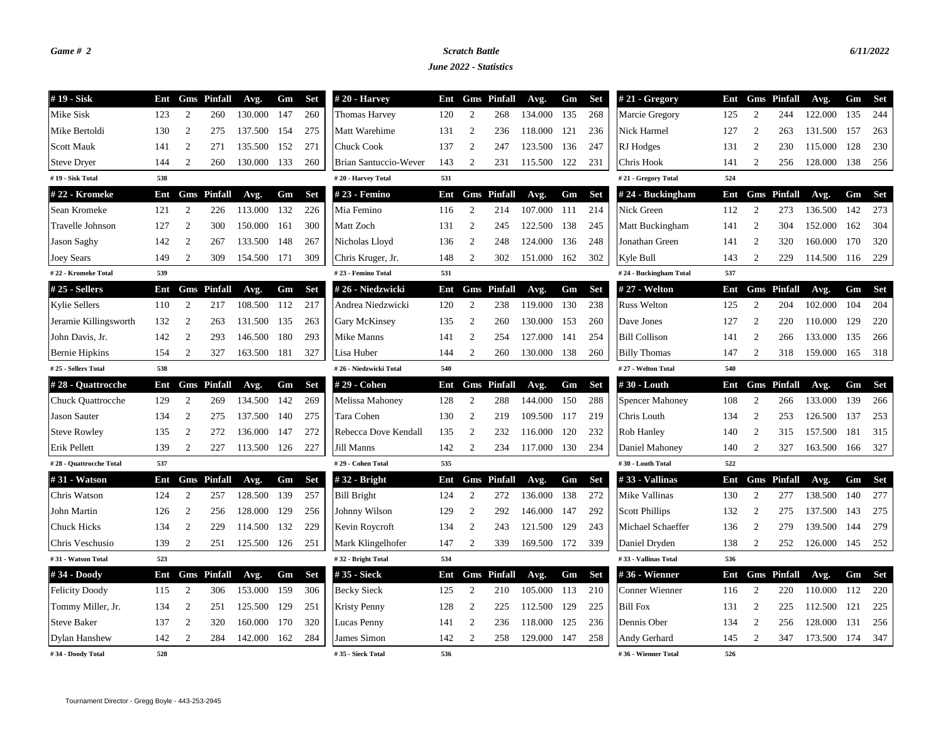## *Game # 2 Scratch Battle 6/11/2022*

*June 2022 - Statistics*

| #19 - Sisk               | Ent |                  | <b>Gms</b> Pinfall | Avg.        | Gm  | Set        | $#20$ - Harvey               | Ent | Gms              | <b>Pinfall</b>     | Avg.    | Gm  | Set        | #21 - Gregory          | Ent | Gms              | <b>Pinfall</b>     | Avg.    | Gm  | Set        |
|--------------------------|-----|------------------|--------------------|-------------|-----|------------|------------------------------|-----|------------------|--------------------|---------|-----|------------|------------------------|-----|------------------|--------------------|---------|-----|------------|
| Mike Sisk                | 123 | 2                | 260                | 130.000     | 147 | 260        | Thomas Harvey                | 120 | 2                | 268                | 134.000 | 135 | 268        | Marcie Gregory         | 125 | 2                | 244                | 122.000 | 135 | 244        |
| Mike Bertoldi            | 130 | $\overline{2}$   | 275                | 137.500     | 154 | 275        | Matt Warehime                | 131 | $\overline{2}$   | 236                | 118.000 | 121 | 236        | Nick Harmel            | 127 | 2                | 263                | 131.500 | 157 | 263        |
| <b>Scott Mauk</b>        | 141 | 2                | 271                | 135.500     | 152 | 271        | <b>Chuck Cook</b>            | 137 | 2                | 247                | 123.500 | 136 | 247        | RJ Hodges              | 131 | $\overline{2}$   | 230                | 115.000 | 128 | 230        |
| <b>Steve Dryer</b>       | 144 | 2                | 260                | 130.000     | 133 | 260        | <b>Brian Santuccio-Wever</b> | 143 | $\overline{c}$   | 231                | 115.500 | 122 | 231        | Chris Hook             | 141 | $\overline{2}$   | 256                | 128.000 | 138 | 256        |
| #19 - Sisk Total         | 538 |                  |                    |             |     |            | #20 - Harvey Total           | 531 |                  |                    |         |     |            | #21 - Gregory Total    | 524 |                  |                    |         |     |            |
| #22 - Kromeke            | Ent |                  | <b>Gms</b> Pinfall | Avg.        | Gm  | <b>Set</b> | # 23 - Femino                | Ent |                  | <b>Gms</b> Pinfall | Avg.    | Gm  | <b>Set</b> | #24 - Buckingham       | Ent |                  | <b>Gms</b> Pinfall | Avg.    |     | Gm Set     |
| Sean Kromeke             | 121 | 2                | 226                | 113.000     | 132 | 226        | Mia Femino                   | 116 | 2                | 214                | 107.000 | 111 | 214        | Nick Green             | 112 | 2                | 273                | 136.500 | 142 | 273        |
| Travelle Johnson         | 127 | 2                | 300                | 150.000     | 161 | 300        | Matt Zoch                    | 131 | 2                | 245                | 122.500 | 138 | 245        | Matt Buckingham        | 141 | 2                | 304                | 152.000 | 162 | 304        |
| <b>Jason Saghy</b>       | 142 | $\mathfrak{2}$   | 267                | 133.500     | 148 | 267        | Nicholas Lloyd               | 136 | 2                | 248                | 124.000 | 136 | 248        | Jonathan Green         | 141 | $\overline{2}$   | 320                | 160.000 | 170 | 320        |
| Joey Sears               | 149 | 2                | 309                | 154.500     | 171 | 309        | Chris Kruger, Jr.            | 148 | 2                | 302                | 151.000 | 162 | 302        | Kyle Bull              | 143 | 2                | 229                | 114.500 | 116 | 229        |
| #22 - Kromeke Total      | 539 |                  |                    |             |     |            | #23 - Femino Total           | 531 |                  |                    |         |     |            | #24 - Buckingham Total | 537 |                  |                    |         |     |            |
| #25 - Sellers            | Ent |                  | <b>Gms</b> Pinfall | Avg.        | Gm  | <b>Set</b> | #26 - Niedzwicki             | Ent |                  | <b>Gms</b> Pinfall | Avg.    | Gm  | <b>Set</b> | # 27 - Welton          | Ent |                  | <b>Gms</b> Pinfall | Avg.    |     | Gm Set     |
| Kylie Sellers            | 110 | 2                | 217                | 108.500     | 112 | 217        | Andrea Niedzwicki            | 120 | 2                | 238                | 119.000 | 130 | 238        | <b>Russ Welton</b>     | 125 | 2                | 204                | 102.000 | 104 | 204        |
| Jeramie Killingsworth    | 132 | $\mathfrak{2}$   | 263                | 131.500     | 135 | 263        | Gary McKinsey                | 135 | 2                | 260                | 130.000 | 153 | 260        | Dave Jones             | 127 | 2                | 220                | 110.000 | 129 | 220        |
| John Davis, Jr.          | 142 | $\mathfrak{2}$   | 293                | 146.500     | 180 | 293        | Mike Manns                   | 141 | $\overline{2}$   | 254                | 127.000 | 141 | 254        | <b>Bill Collison</b>   | 141 | $\overline{2}$   | 266                | 133.000 | 135 | 266        |
| <b>Bernie Hipkins</b>    | 154 | $\overline{2}$   | 327                | 163.500     | 181 | 327        | Lisa Huber                   | 144 | $\mathfrak{2}$   | 260                | 130.000 | 138 | 260        | <b>Billy Thomas</b>    | 147 | $\overline{2}$   | 318                | 159.000 | 165 | 318        |
| #25 - Sellers Total      | 538 |                  |                    |             |     |            | #26 - Niedzwicki Total       | 540 |                  |                    |         |     |            | #27 - Welton Total     | 540 |                  |                    |         |     |            |
| #28 - Quattrocche        | Ent |                  | <b>Gms</b> Pinfall | Avg.        | Gm  | <b>Set</b> | # 29 - Cohen                 | Ent |                  | <b>Gms</b> Pinfall | Avg.    | Gm  | <b>Set</b> | #30 - Louth            | Ent |                  | <b>Gms</b> Pinfall | Avg.    | Gm  | <b>Set</b> |
| <b>Chuck Quattrocche</b> | 129 | 2                | 269                | 134.500     | 142 | 269        | Melissa Mahoney              | 128 | 2                | 288                | 144.000 | 150 | 288        | <b>Spencer Mahoney</b> | 108 | 2                | 266                | 133.000 | 139 | 266        |
| <b>Jason Sauter</b>      | 134 | $\boldsymbol{2}$ | 275                | 137.500     | 140 | 275        | Tara Cohen                   | 130 | 2                | 219                | 109.500 | 117 | 219        | Chris Louth            | 134 | $\overline{c}$   | 253                | 126.500 | 137 | 253        |
| <b>Steve Rowley</b>      | 135 | $\overline{c}$   | 272                | 136.000     | 147 | 272        | Rebecca Dove Kendall         | 135 | 2                | 232                | 116.000 | 120 | 232        | Rob Hanley             | 140 | $\overline{2}$   | 315                | 157.500 | 181 | 315        |
| Erik Pellett             | 139 | 2                | 227                | 113.500     | 126 | 227        | Jill Manns                   | 142 | $\boldsymbol{2}$ | 234                | 117.000 | 130 | 234        | Daniel Mahoney         | 140 | $\boldsymbol{2}$ | 327                | 163.500 | 166 | 327        |
| #28 - Quattrocche Total  | 537 |                  |                    |             |     |            | #29 - Cohen Total            | 535 |                  |                    |         |     |            | #30 - Louth Total      | 522 |                  |                    |         |     |            |
| # 31 - Watson            | Ent |                  | <b>Gms</b> Pinfall | Avg.        | Gm  | <b>Set</b> | $#32$ - Bright               | Ent |                  | <b>Gms</b> Pinfall | Avg.    | Gm  | <b>Set</b> | #33 - Vallinas         | Ent |                  | <b>Gms</b> Pinfall | Avg.    | Gm  | Set        |
| Chris Watson             | 124 | 2                | 257                | 128.500     | 139 | 257        | <b>Bill Bright</b>           | 124 | 2                | 272                | 136.000 | 138 | 272        | Mike Vallinas          | 130 | 2                | 277                | 138.500 | 140 | 277        |
| John Martin              | 126 | $\boldsymbol{2}$ | 256                | 128.000     | 129 | 256        | Johnny Wilson                | 129 | $\overline{2}$   | 292                | 146.000 | 147 | 292        | <b>Scott Phillips</b>  | 132 | $\overline{2}$   | 275                | 137.500 | 143 | 275        |
| <b>Chuck Hicks</b>       | 134 | 2                | 229                | 114.500     | 132 | 229        | Kevin Roycroft               | 134 | $\overline{c}$   | 243                | 121.500 | 129 | 243        | Michael Schaeffer      | 136 | $\overline{2}$   | 279                | 139.500 | 144 | 279        |
| Chris Veschusio          | 139 | $\overline{c}$   | 251                | 125.500 126 |     | 251        | Mark Klingelhofer            | 147 | $\boldsymbol{2}$ | 339                | 169.500 | 172 | 339        | Daniel Dryden          | 138 | $\overline{2}$   | 252                | 126.000 | 145 | 252        |
| #31 - Watson Total       | 523 |                  |                    |             |     |            | #32 - Bright Total           | 534 |                  |                    |         |     |            | #33 - Vallinas Total   | 536 |                  |                    |         |     |            |
| #34 - Doody              | Ent |                  | <b>Gms</b> Pinfall | Avg.        | Gm  | <b>Set</b> | #35 - Sieck                  | Ent |                  | <b>Gms</b> Pinfall | Avg.    | Gm  | <b>Set</b> | #36 - Wienner          | Ent |                  | <b>Gms</b> Pinfall | Avg.    | Gm  | Set        |
| <b>Felicity Doody</b>    | 115 | 2                | 306                | 153.000     | 159 | 306        | <b>Becky Sieck</b>           | 125 | 2                | 210                | 105.000 | 113 | 210        | Conner Wienner         | 116 | 2                | 220                | 110.000 | 112 | 220        |
| Tommy Miller, Jr.        | 134 | 2                | 251                | 125.500     | 129 | 251        | <b>Kristy Penny</b>          | 128 | 2                | 225                | 112.500 | 129 | 225        | <b>Bill Fox</b>        | 131 | $\overline{2}$   | 225                | 112.500 | 121 | 225        |
| <b>Steve Baker</b>       | 137 | $\overline{2}$   | 320                | 160.000     | 170 | 320        | Lucas Penny                  | 141 | 2                | 236                | 118.000 | 125 | 236        | Dennis Ober            | 134 | 2                | 256                | 128.000 | 131 | 256        |
| <b>Dylan Hanshew</b>     | 142 | $\overline{2}$   | 284                | 142.000     | 162 | 284        | James Simon                  | 142 | $\mathfrak{2}$   | 258                | 129.000 | 147 | 258        | Andy Gerhard           | 145 | 2                | 347                | 173.500 | 174 | 347        |
| #34 - Doody Total        | 528 |                  |                    |             |     |            | #35 - Sieck Total            | 536 |                  |                    |         |     |            | #36 - Wienner Total    | 526 |                  |                    |         |     |            |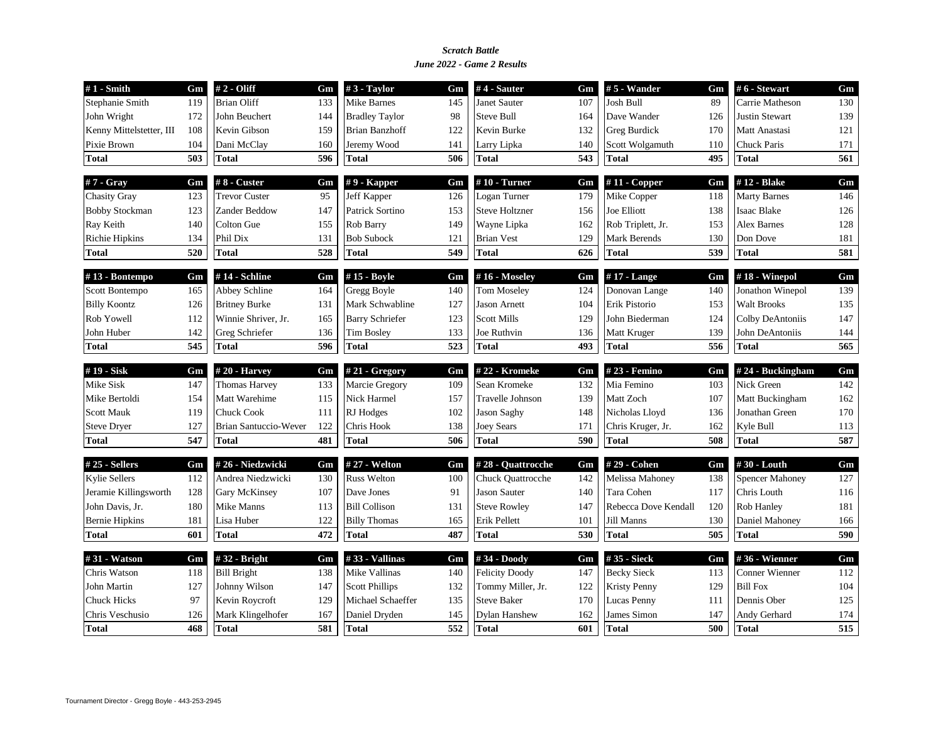## *June 2022 - Game 2 Results Scratch Battle*

| $#1$ - Smith                 | Gm  | # 2 - Oliff                        | Gm  | $#3$ - Taylor                   | Gm  | $#4$ - Sauter                        | Gm  | $# 5$ - Wander                    | Gm  | #6 - Stewart                    | Gm  |
|------------------------------|-----|------------------------------------|-----|---------------------------------|-----|--------------------------------------|-----|-----------------------------------|-----|---------------------------------|-----|
| Stephanie Smith              | 119 | <b>Brian Oliff</b>                 | 133 | <b>Mike Barnes</b>              | 145 | Janet Sauter                         | 107 | Josh Bull                         | 89  | Carrie Matheson                 | 130 |
| John Wright                  | 172 | John Beuchert                      | 144 | <b>Bradley Taylor</b>           | 98  | <b>Steve Bull</b>                    | 164 | Dave Wander                       | 126 | <b>Justin Stewart</b>           | 139 |
| Kenny Mittelstetter, III     | 108 | Kevin Gibson                       | 159 | <b>Brian Banzhoff</b>           | 122 | Kevin Burke                          | 132 | <b>Greg Burdick</b>               | 170 | Matt Anastasi                   | 121 |
| Pixie Brown                  | 104 | Dani McClay                        | 160 | Jeremy Wood                     | 141 | Larry Lipka                          | 140 | Scott Wolgamuth                   | 110 | <b>Chuck Paris</b>              | 171 |
| <b>Total</b>                 | 503 | <b>Total</b>                       | 596 | <b>Total</b>                    | 506 | <b>Total</b>                         | 543 | <b>Total</b>                      | 495 | <b>Total</b>                    | 561 |
| $#7 - Gray$                  | Gm  | #8 - Custer                        | Gm  | $# 9$ - Kapper                  | Gm  | $#10$ - Turner                       | Gm  | $#11$ - Copper                    | Gm  | #12 - Blake                     | Gm  |
| <b>Chasity Gray</b>          | 123 | <b>Trevor Custer</b>               | 95  | Jeff Kapper                     | 126 | Logan Turner                         | 179 | Mike Copper                       | 118 | <b>Marty Barnes</b>             | 146 |
| <b>Bobby Stockman</b>        | 123 | Zander Beddow                      | 147 | Patrick Sortino                 | 153 | <b>Steve Holtzner</b>                | 156 | Joe Elliott                       | 138 | <b>Isaac Blake</b>              | 126 |
| Ray Keith                    | 140 | Colton Gue                         | 155 | Rob Barry                       | 149 | Wayne Lipka                          | 162 | Rob Triplett, Jr.                 | 153 | <b>Alex Barnes</b>              | 128 |
| <b>Richie Hipkins</b>        | 134 | Phil Dix                           | 131 | <b>Bob Subock</b>               | 121 | <b>Brian Vest</b>                    | 129 | Mark Berends                      | 130 | Don Dove                        | 181 |
| <b>Total</b>                 | 520 | <b>Total</b>                       | 528 | <b>Total</b>                    | 549 | <b>Total</b>                         | 626 | <b>Total</b>                      | 539 | <b>Total</b>                    | 581 |
| #13 - Bontempo               | Gm  | #14 - Schline                      | Gm  | #15 - Boyle                     | Gm  | #16 - Moseley                        | Gm  | $#17$ - Lange                     | Gm  | #18 - Winepol                   | Gm  |
| Scott Bontempo               | 165 | Abbey Schline                      | 164 | Gregg Boyle                     | 140 | <b>Tom Moseley</b>                   | 124 | Donovan Lange                     | 140 | Jonathon Winepol                | 139 |
| <b>Billy Koontz</b>          | 126 | <b>Britney Burke</b>               | 131 | Mark Schwabline                 | 127 | <b>Jason Arnett</b>                  | 104 | Erik Pistorio                     | 153 | <b>Walt Brooks</b>              | 135 |
| Rob Yowell                   | 112 | Winnie Shriver, Jr.                | 165 | <b>Barry Schriefer</b>          | 123 | <b>Scott Mills</b>                   | 129 | John Biederman                    | 124 | Colby DeAntoniis                | 147 |
| John Huber                   | 142 | Greg Schriefer                     | 136 | <b>Tim Bosley</b>               | 133 | Joe Ruthvin                          | 136 | Matt Kruger                       | 139 | John DeAntoniis                 | 144 |
| <b>Total</b>                 | 545 | <b>Total</b>                       | 596 | <b>Total</b>                    | 523 | <b>Total</b>                         | 493 | <b>Total</b>                      | 556 | <b>Total</b>                    | 565 |
| #19 - Sisk                   | Gm  | #20 - Harvey                       | Gm  | # $21 - Gregory$                | Gm  | #22 - Kromeke                        | Gm  | # 23 - Femino                     | Gm  | #24 - Buckingham                | Gm  |
| Mike Sisk                    | 147 | <b>Thomas Harvey</b>               | 133 | Marcie Gregory                  | 109 | Sean Kromeke                         | 132 | Mia Femino                        | 103 | Nick Green                      | 142 |
| Mike Bertoldi                | 154 | Matt Warehime                      | 115 | Nick Harmel                     | 157 | Travelle Johnson                     | 139 | Matt Zoch                         | 107 | Matt Buckingham                 | 162 |
| <b>Scott Mauk</b>            | 119 | <b>Chuck Cook</b>                  | 111 | RJ Hodges                       | 102 | <b>Jason Saghy</b>                   | 148 | Nicholas Lloyd                    | 136 | Jonathan Green                  | 170 |
| <b>Steve Dryer</b>           | 127 | Brian Santuccio-Wever              | 122 | Chris Hook                      | 138 | <b>Joey Sears</b>                    | 171 | Chris Kruger, Jr.                 | 162 | Kyle Bull                       | 113 |
| <b>Total</b>                 | 547 | <b>Total</b>                       | 481 | <b>Total</b>                    | 506 | <b>Total</b>                         | 590 | <b>Total</b>                      | 508 | <b>Total</b>                    | 587 |
| #25 - Sellers                | Gm  | #26 - Niedzwicki                   | Gm  | # 27 - Welton                   | Gm  | #28 - Quattrocche                    | Gm  | #29 - Cohen                       | Gm  | #30 - Louth                     | Gm  |
| <b>Kylie Sellers</b>         | 112 | Andrea Niedzwicki                  | 130 | <b>Russ Welton</b>              | 100 | Chuck Quattrocche                    | 142 | Melissa Mahoney                   | 138 | <b>Spencer Mahoney</b>          | 127 |
| Jeramie Killingsworth        | 128 | Gary McKinsey                      | 107 | Dave Jones                      | 91  | Jason Sauter                         | 140 | Tara Cohen                        | 117 | Chris Louth                     | 116 |
| John Davis, Jr.              | 180 | Mike Manns                         | 113 | <b>Bill Collison</b>            | 131 | <b>Steve Rowley</b>                  | 147 | Rebecca Dove Kendall              | 120 | Rob Hanley                      | 181 |
| <b>Bernie Hipkins</b>        | 181 | Lisa Huber                         | 122 | <b>Billy Thomas</b>             | 165 | Erik Pellett                         | 101 | Jill Manns                        | 130 | Daniel Mahoney                  | 166 |
|                              |     |                                    |     |                                 |     |                                      |     |                                   |     |                                 |     |
| <b>Total</b>                 | 601 | <b>Total</b>                       | 472 | <b>Total</b>                    | 487 | <b>Total</b>                         | 530 | <b>Total</b>                      | 505 | <b>Total</b>                    | 590 |
|                              | Gm  |                                    | Gm  |                                 | Gm  |                                      | Gm  |                                   | Gm  |                                 | Gm  |
| #31 - Watson<br>Chris Watson | 118 | #32 - Bright<br><b>Bill Bright</b> | 138 | #33 - Vallinas<br>Mike Vallinas | 140 | #34 - Doody<br><b>Felicity Doody</b> | 147 | #35 - Sieck<br><b>Becky Sieck</b> | 113 | #36 - Wienner<br>Conner Wienner | 112 |
| John Martin                  | 127 | Johnny Wilson                      | 147 | <b>Scott Phillips</b>           | 132 | Tommy Miller, Jr.                    | 122 | <b>Kristy Penny</b>               | 129 | <b>Bill Fox</b>                 | 104 |
| <b>Chuck Hicks</b>           | 97  | Kevin Roycroft                     | 129 | Michael Schaeffer               | 135 | <b>Steve Baker</b>                   | 170 | Lucas Penny                       | 111 | Dennis Ober                     | 125 |
| Chris Veschusio              | 126 | Mark Klingelhofer                  | 167 | Daniel Dryden                   | 145 | <b>Dylan Hanshew</b>                 | 162 | James Simon                       | 147 | Andy Gerhard                    | 174 |